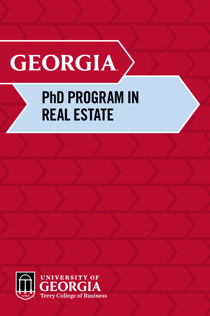# **GEORGIA**

### PhD PROGRAM IN REAL ESTATE

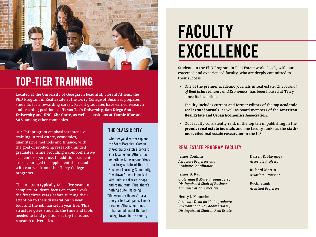

### TOP-TIER TRAINING

Located at the University of Georgia in beautiful, vibrant Athens, the PhD Program in Real Estate at the Terry College of Business prepares students for a rewarding career. Recent graduates have earned research and teaching positions at Texas Tech University, San Diego State University and UNC-Charlotte, as well as positions at Fannie Mae and SAS, among other companies.

Our PhD program emphasizes intensive training in real estate, economics, quantitative methods and finance, with the goal of producing research-minded graduates, while providing a comprehensive academic experience. In addition, students are encouraged to supplement their studies with courses from other Terry College programs.

The program typically takes five years to complete. Students focus on coursework the first three years before turning their attention to their dissertation in year four and the job market in year five. This structure gives students the time and tools needed to land positions at top firms and research universities.

#### THE CLASSIC CITY

Whether you'd rather explore the State Botanical Garden of Georgia or catch a concert at a local venue, Athens has something for everyone. Steps from Terry's state-of-the-art Business Learning Community, Downtown Athens is packed with unique galleries, shops and restaurants. Plus, there's nothing quite like being "Between the Hedges" for a Georgia football game. There's a reason Athens continues to be named one of the best college towns in the country.

### FACULTY EXCELLENCE

Students in the PhD Program in Real Estate work closely with our esteemed and experienced faculty, who are deeply committed to their success.

- One of the premier academic journals in real estate, *The Journal of Real Estate Finance and Economics*, has been housed at Terry since its inception.
- Faculty includes current and former editors of the **top academic** real estate journals, as well as board members of the American Real Estate and Urban Economics Association.
- Our faculty consistently rank in the top ten in publishing in the premier real estate journals and one faculty ranks as the sixthmost cited real estate researcher in the U.S.

#### REAL ESTATE PROGRAM FACULTY

James Conklin *Associate Professor and Graduate Coordinator*

James B. Kau *C. Herman & Mary Virginia Terry Distinguished Chair of Business Administration, Emeritus*

Henry J. Munneke *Associate Dean for Undergraduate Programs and Roy Adams Dorsey Distinguished Chair in Real Estate*

Darren K. Hayunga *Associate Professor*

Richard Martin *Associate Professor*

Ruchi Singh *Assistant Professor*